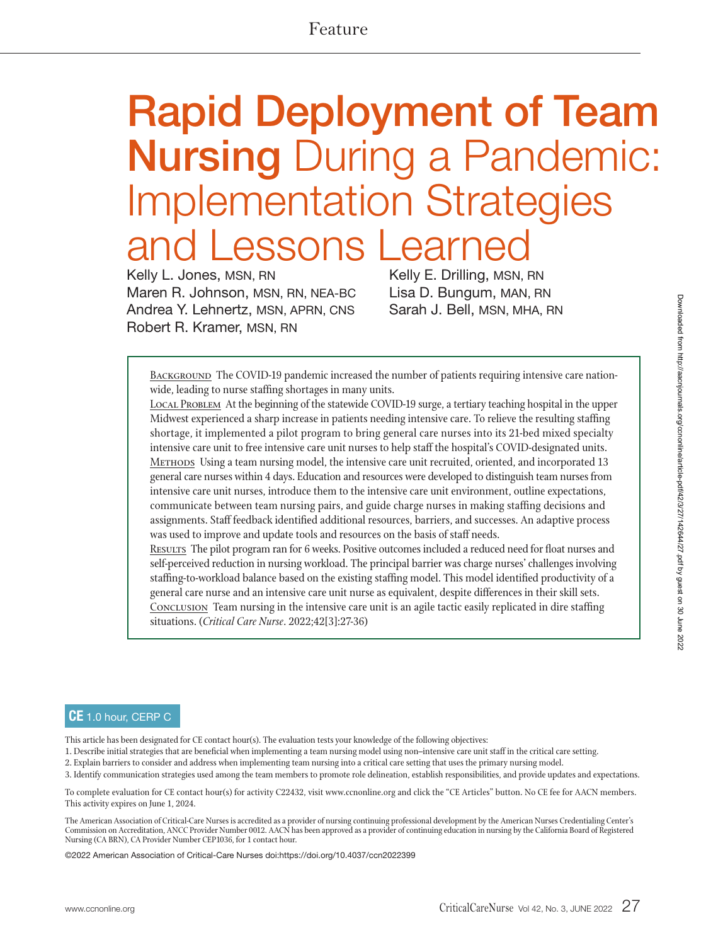# **Rapid Deployment of Team Nursing** During a Pandemic: Implementation Strategies essons Learne

Kelly L. Jones, MSN, RN Maren R. Johnson, MSN, RN, NEA-BC Andrea Y. Lehnertz, MSN, APRN, CNS Robert R. Kramer, MSN, RN

Kelly E. Drilling, MSN, RN Lisa D. Bungum, MAN, RN Sarah J. Bell, MSN, MHA, RN

BACKGROUND The COVID-19 pandemic increased the number of patients requiring intensive care nationwide, leading to nurse staffing shortages in many units.

<sup>L</sup>ocal Problem At the beginning of the statewide COVID-19 surge, a tertiary teaching hospital in the upper Midwest experienced a sharp increase in patients needing intensive care. To relieve the resulting staffing shortage, it implemented a pilot program to bring general care nurses into its 21-bed mixed specialty intensive care unit to free intensive care unit nurses to help staff the hospital's COVID-designated units. <sup>M</sup>ethods Using a team nursing model, the intensive care unit recruited, oriented, and incorporated 13 general care nurses within 4 days. Education and resources were developed to distinguish team nurses from intensive care unit nurses, introduce them to the intensive care unit environment, outline expectations, communicate between team nursing pairs, and guide charge nurses in making staffing decisions and assignments. Staff feedback identified additional resources, barriers, and successes. An adaptive process was used to improve and update tools and resources on the basis of staff needs.

RESULTS The pilot program ran for 6 weeks. Positive outcomes included a reduced need for float nurses and self-perceived reduction in nursing workload. The principal barrier was charge nurses' challenges involving staffing-to-workload balance based on the existing staffing model. This model identified productivity of a general care nurse and an intensive care unit nurse as equivalent, despite differences in their skill sets. CONCLUSION Team nursing in the intensive care unit is an agile tactic easily replicated in dire staffing situations. (*Critical Care Nurse*. 2022;42[3]:27-36)

#### **CE** 1.0 hour, CERP C

This article has been designated for CE contact hour(s). The evaluation tests your knowledge of the following objectives:

- 1. Describe initial strategies that are beneficial when implementing a team nursing model using non–intensive care unit staff in the critical care setting.
- 2. Explain barriers to consider and address when implementing team nursing into a critical care setting that uses the primary nursing model.

3. Identify communication strategies used among the team members to promote role delineation, establish responsibilities, and provide updates and expectations.

To complete evaluation for CE contact hour(s) for activity C22432, visit www.ccnonline.org and click the "CE Articles" button. No CE fee for AACN members. This activity expires on June 1, 2024.

The American Association of Critical-Care Nurses is accredited as a provider of nursing continuing professional development by the American Nurses Credentialing Center's Commission on Accreditation, ANCC Provider Number 0012. AACN has been approved as a provider of continuing education in nursing by the California Board of Registered Nursing (CA BRN), CA Provider Number CEP1036, for 1 contact hour.

©2022 American Association of Critical-Care Nurses doi:https://doi.org/10.4037/ccn2022399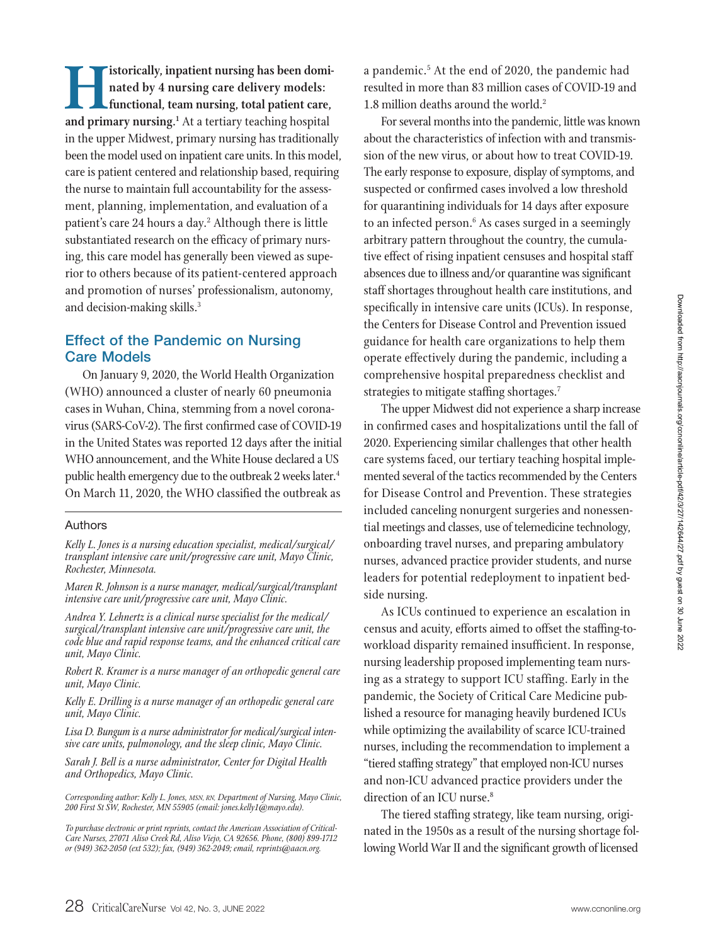**Historically, inpatient nursing has been dominated by 4 nursing care delivery models:**<br> **functional, team nursing, total patient care,**<br>
and primary nursing.<sup>1</sup> At a tertiary teaching hospital<br>
in the upper Midwest, prima **nated by 4 nursing care delivery models: functional, team nursing, total patient care,**  in the upper Midwest, primary nursing has traditionally been the model used on inpatient care units. In this model, care is patient centered and relationship based, requiring the nurse to maintain full accountability for the assessment, planning, implementation, and evaluation of a patient's care 24 hours a day.<sup>2</sup> Although there is little substantiated research on the efficacy of primary nursing, this care model has generally been viewed as superior to others because of its patient-centered approach and promotion of nurses' professionalism, autonomy, and decision-making skills.<sup>3</sup>

# **Effect of the Pandemic on Nursing Care Models**

On January 9, 2020, the World Health Organization (WHO) announced a cluster of nearly 60 pneumonia cases in Wuhan, China, stemming from a novel coronavirus (SARS-CoV-2). The first confirmed case of COVID-19 in the United States was reported 12 days after the initial WHO announcement, and the White House declared a US public health emergency due to the outbreak 2 weeks later.<sup>4</sup> On March 11, 2020, the WHO classified the outbreak as

#### Authors

*Kelly L. Jones is a nursing education specialist, medical/surgical/ transplant intensive care unit/progressive care unit, Mayo Clinic, Rochester, Minnesota.* 

*Maren R. Johnson is a nurse manager, medical/surgical/transplant intensive care unit/progressive care unit, Mayo Clinic.* 

*Andrea Y. Lehnertz is a clinical nurse specialist for the medical/ surgical/transplant intensive care unit/progressive care unit, the code blue and rapid response teams, and the enhanced critical care unit, Mayo Clinic.* 

*Robert R. Kramer is a nurse manager of an orthopedic general care unit, Mayo Clinic.*

*Kelly E. Drilling is a nurse manager of an orthopedic general care unit, Mayo Clinic.* 

*Lisa D. Bungum is a nurse administrator for medical/surgical intensive care units, pulmonology, and the sleep clinic, Mayo Clinic.* 

*Sarah J. Bell is a nurse administrator, Center for Digital Health and Orthopedics, Mayo Clinic.* 

*Corresponding author: Kelly L. Jones, MSN, RN, Department of Nursing, Mayo Clinic, 200 First St SW, Rochester, MN 55905 (email: jones.kelly1@mayo.edu).* 

*To purchase electronic or print reprints, contact the American Association of Critical-Care Nurses, 27071 Aliso Creek Rd, Aliso Viejo, CA 92656. Phone, (800) 899-1712 or (949) 362-2050 (ext 532); fax, (949) 362-2049; email, reprints@aacn.org.*

a pandemic.<sup>5</sup> At the end of 2020, the pandemic had resulted in more than 83 million cases of COVID-19 and 1.8 million deaths around the world.<sup>2</sup>

For several months into the pandemic, little was known about the characteristics of infection with and transmission of the new virus, or about how to treat COVID-19. The early response to exposure, display of symptoms, and suspected or confirmed cases involved a low threshold for quarantining individuals for 14 days after exposure to an infected person.<sup>6</sup> As cases surged in a seemingly arbitrary pattern throughout the country, the cumulative effect of rising inpatient censuses and hospital staff absences due to illness and/or quarantine was significant staff shortages throughout health care institutions, and specifically in intensive care units (ICUs). In response, the Centers for Disease Control and Prevention issued guidance for health care organizations to help them operate effectively during the pandemic, including a comprehensive hospital preparedness checklist and strategies to mitigate staffing shortages.<sup>7</sup>

The upper Midwest did not experience a sharp increase in confirmed cases and hospitalizations until the fall of 2020. Experiencing similar challenges that other health care systems faced, our tertiary teaching hospital implemented several of the tactics recommended by the Centers for Disease Control and Prevention. These strategies included canceling nonurgent surgeries and nonessential meetings and classes, use of telemedicine technology, onboarding travel nurses, and preparing ambulatory nurses, advanced practice provider students, and nurse leaders for potential redeployment to inpatient bedside nursing.

As ICUs continued to experience an escalation in census and acuity, efforts aimed to offset the staffing-toworkload disparity remained insufficient. In response, nursing leadership proposed implementing team nursing as a strategy to support ICU staffing. Early in the pandemic, the Society of Critical Care Medicine published a resource for managing heavily burdened ICUs while optimizing the availability of scarce ICU-trained nurses, including the recommendation to implement a "tiered staffing strategy" that employed non-ICU nurses and non-ICU advanced practice providers under the direction of an ICU nurse.<sup>8</sup>

The tiered staffing strategy, like team nursing, originated in the 1950s as a result of the nursing shortage following World War II and the significant growth of licensed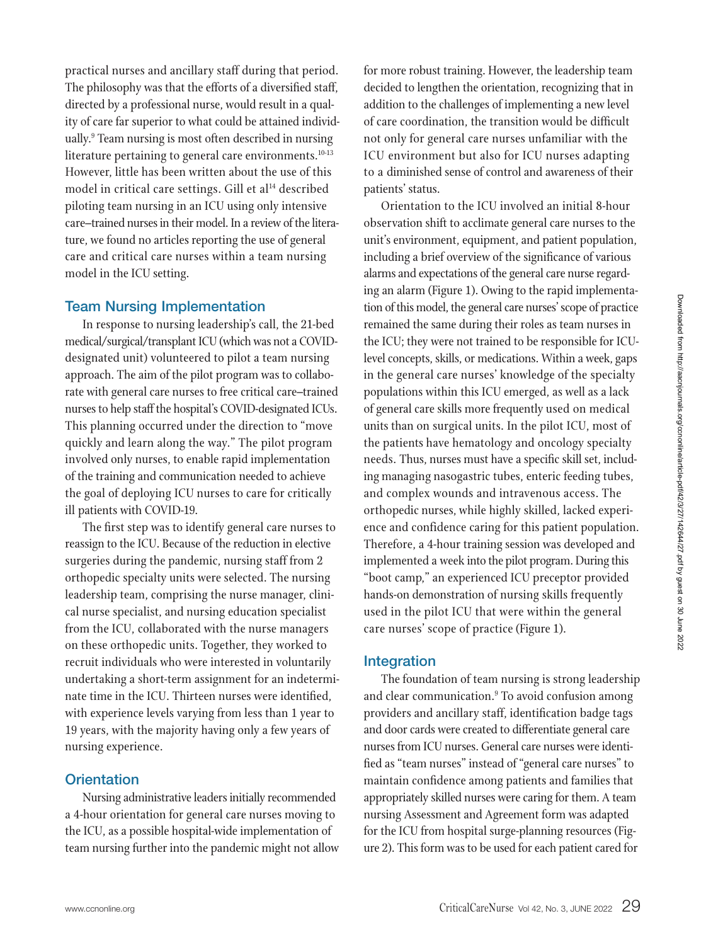practical nurses and ancillary staff during that period. The philosophy was that the efforts of a diversified staff, directed by a professional nurse, would result in a quality of care far superior to what could be attained individually.<sup>9</sup> Team nursing is most often described in nursing literature pertaining to general care environments.<sup>10-13</sup> However, little has been written about the use of this model in critical care settings. Gill et al<sup>14</sup> described piloting team nursing in an ICU using only intensive care–trained nurses in their model. In a review of the literature, we found no articles reporting the use of general care and critical care nurses within a team nursing model in the ICU setting.

# **Team Nursing Implementation**

In response to nursing leadership's call, the 21-bed medical/surgical/transplant ICU (which was not a COVIDdesignated unit) volunteered to pilot a team nursing approach. The aim of the pilot program was to collaborate with general care nurses to free critical care–trained nurses to help staff the hospital's COVID-designated ICUs. This planning occurred under the direction to "move quickly and learn along the way." The pilot program involved only nurses, to enable rapid implementation of the training and communication needed to achieve the goal of deploying ICU nurses to care for critically ill patients with COVID-19.

The first step was to identify general care nurses to reassign to the ICU. Because of the reduction in elective surgeries during the pandemic, nursing staff from 2 orthopedic specialty units were selected. The nursing leadership team, comprising the nurse manager, clinical nurse specialist, and nursing education specialist from the ICU, collaborated with the nurse managers on these orthopedic units. Together, they worked to recruit individuals who were interested in voluntarily undertaking a short-term assignment for an indeterminate time in the ICU. Thirteen nurses were identified, with experience levels varying from less than 1 year to 19 years, with the majority having only a few years of nursing experience.

# **Orientation**

Nursing administrative leaders initially recommended a 4-hour orientation for general care nurses moving to the ICU, as a possible hospital-wide implementation of team nursing further into the pandemic might not allow

for more robust training. However, the leadership team decided to lengthen the orientation, recognizing that in addition to the challenges of implementing a new level of care coordination, the transition would be difficult not only for general care nurses unfamiliar with the ICU environment but also for ICU nurses adapting to a diminished sense of control and awareness of their patients' status.

Orientation to the ICU involved an initial 8-hour observation shift to acclimate general care nurses to the unit's environment, equipment, and patient population, including a brief overview of the significance of various alarms and expectations of the general care nurse regarding an alarm (Figure 1). Owing to the rapid implementation of this model, the general care nurses' scope of practice remained the same during their roles as team nurses in the ICU; they were not trained to be responsible for ICUlevel concepts, skills, or medications. Within a week, gaps in the general care nurses' knowledge of the specialty populations within this ICU emerged, as well as a lack of general care skills more frequently used on medical units than on surgical units. In the pilot ICU, most of the patients have hematology and oncology specialty needs. Thus, nurses must have a specific skill set, including managing nasogastric tubes, enteric feeding tubes, and complex wounds and intravenous access. The orthopedic nurses, while highly skilled, lacked experience and confidence caring for this patient population. Therefore, a 4-hour training session was developed and implemented a week into the pilot program. During this "boot camp," an experienced ICU preceptor provided hands-on demonstration of nursing skills frequently used in the pilot ICU that were within the general care nurses' scope of practice (Figure 1).

# **Integration**

The foundation of team nursing is strong leadership and clear communication.<sup>9</sup> To avoid confusion among providers and ancillary staff, identification badge tags and door cards were created to differentiate general care nurses from ICU nurses. General care nurses were identified as "team nurses" instead of "general care nurses" to maintain confidence among patients and families that appropriately skilled nurses were caring for them. A team nursing Assessment and Agreement form was adapted for the ICU from hospital surge-planning resources (Figure 2). This form was to be used for each patient cared for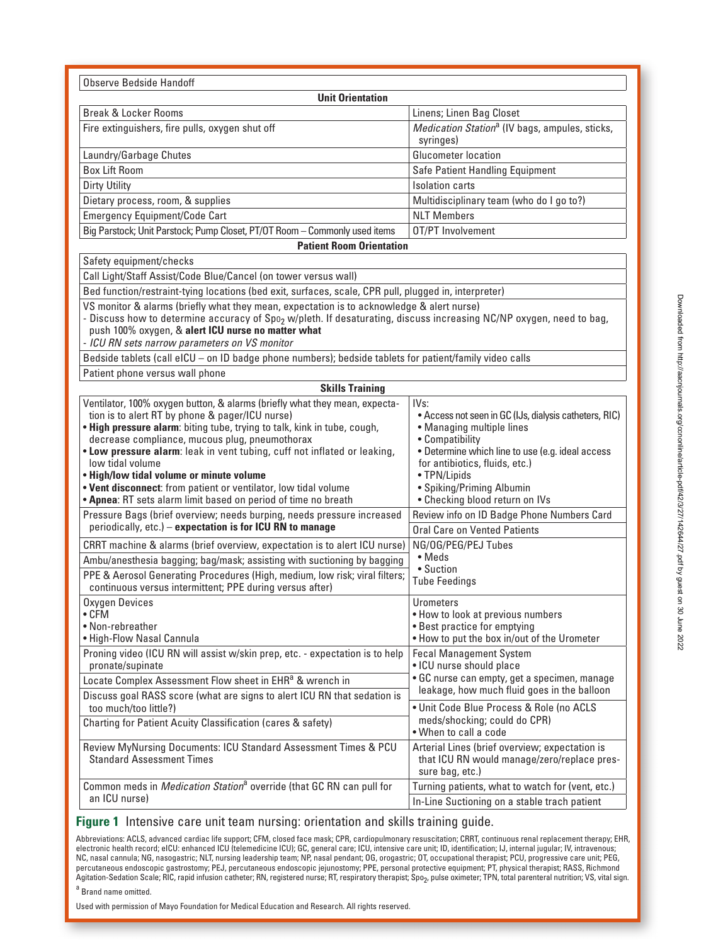Observe Bedside Handoff **Unit Orientation** Break & Locker Rooms **Linens; Linen Bag Closet** Fire extinguishers, fire pulls, oxygen shut off Medication Station<sup>a</sup> (IV bags, ampules, sticks, syringes) Laundry/Garbage Chutes Glucometer location Box Lift Room Safe Patient Handling Equipment Dirty Utility **Isolation carts** Dietary process, room, & supplies Multidisciplinary team (who do I go to?) Emergency Equipment/Code Cart Numbers Numbers Numbers Big Parstock; Unit Parstock; Pump Closet, PT/OT Room – Commonly used items  $\Box$  OT/PT Involvement **Patient Room Orientation** Safety equipment/checks Call Light/Staff Assist/Code Blue/Cancel (on tower versus wall) Bed function/restraint-tying locations (bed exit, surfaces, scale, CPR pull, plugged in, interpreter) VS monitor & alarms (briefly what they mean, expectation is to acknowledge & alert nurse) - Discuss how to determine accuracy of Spo<sub>2</sub> w/pleth. If desaturating, discuss increasing NC/NP oxygen, need to bag, push 100% oxygen, & **alert ICU nurse no matter what** - ICU RN sets narrow parameters on VS monitor Bedside tablets (call eICU – on ID badge phone numbers); bedside tablets for patient/family video calls Patient phone versus wall phone **Skills Training** Ventilator, 100% oxygen button, & alarms (briefly what they mean, expectation is to alert RT by phone & pager/ICU nurse) • **High pressure alarm**: biting tube, trying to talk, kink in tube, cough, decrease compliance, mucous plug, pneumothorax • **Low pressure alarm**: leak in vent tubing, cuff not inflated or leaking, low tidal volume • **High/low tidal volume or minute volume** • **Vent disconnect**: from patient or ventilator, low tidal volume • **Apnea**: RT sets alarm limit based on period of time no breath IVs: • Access not seen in GC (IJs, dialysis catheters, RIC) • Managing multiple lines • Compatibility • Determine which line to use (e.g. ideal access for antibiotics, fluids, etc.) • TPN/Lipids • Spiking/Priming Albumin • Checking blood return on IVs Pressure Bags (brief overview; needs burping, needs pressure increased periodically, etc.) – **expectation is for ICU RN to manage** Review info on ID Badge Phone Numbers Card Oral Care on Vented Patients CRRT machine & alarms (brief overview, expectation is to alert ICU nurse) NG/OG/PEG/PEJ Tubes • Meds • Suction Tube Feedings Ambu/anesthesia bagging; bag/mask; assisting with suctioning by bagging PPE & Aerosol Generating Procedures (High, medium, low risk; viral filters; continuous versus intermittent; PPE during versus after) Oxygen Devices • CFM • Non-rebreather • High-Flow Nasal Cannula **Urometers** • How to look at previous numbers • Best practice for emptying • How to put the box in/out of the Urometer Proning video (ICU RN will assist w/skin prep, etc. - expectation is to help pronate/supinate Fecal Management System • ICU nurse should place • GC nurse can empty, get a specimen, manage leakage, how much fluid goes in the balloon • Unit Code Blue Process & Role (no ACLS meds/shocking; could do CPR) • When to call a code Locate Complex Assessment Flow sheet in EHR<sup>a</sup> & wrench in Discuss goal RASS score (what are signs to alert ICU RN that sedation is too much/too little?) Charting for Patient Acuity Classification (cares & safety) Review MyNursing Documents: ICU Standard Assessment Times & PCU Standard Assessment Times Arterial Lines (brief overview; expectation is that ICU RN would manage/zero/replace pressure bag, etc.) Common meds in Medication Station<sup>a</sup> override (that GC RN can pull for an ICU nurse) Turning patients, what to watch for (vent, etc.) In-Line Suctioning on a stable trach patient

#### **Figure 1** Intensive care unit team nursing: orientation and skills training guide.

Abbreviations: ACLS, advanced cardiac life support; CFM, closed face mask; CPR, cardiopulmonary resuscitation; CRRT, continuous renal replacement therapy; EHR, electronic health record; eICU: enhanced ICU (telemedicine ICU); GC, general care; ICU, intensive care unit; ID, identification; IJ, internal jugular; IV, intravenous; NC, nasal cannula; NG, nasogastric; NLT, nursing leadership team; NP, nasal pendant; OG, orogastric; OT, occupational therapist; PCU, progressive care unit; PEG, percutaneous endoscopic gastrostomy; PEJ, percutaneous endoscopic jejunostomy; PPE, personal protective equipment; PT, physical therapist; RASS, Richmond Agitation-Sedation Scale; RIC, rapid infusion catheter; RN, registered nurse; RT, respiratory therapist; Spo<sub>2</sub>, pulse oximeter; TPN, total parenteral nutrition; VS, vital sign.

<sup>a</sup> Brand name omitted.

Used with permission of Mayo Foundation for Medical Education and Research. All rights reserved.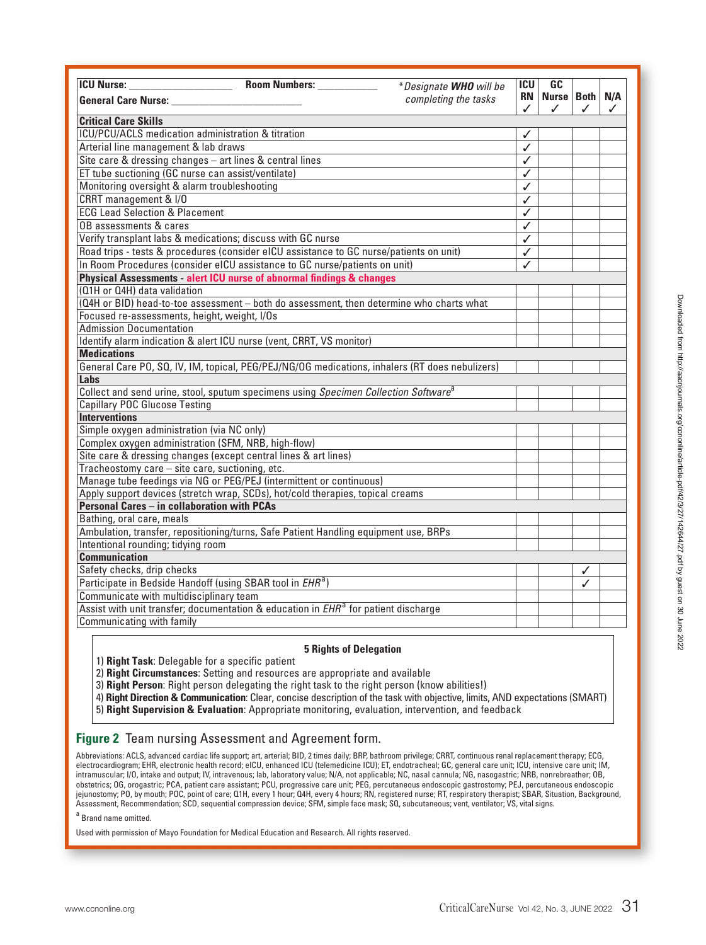| <b>ICU</b> Nurse:                                                                               | Room Numbers: ___________ | *Designate WHO will be | ICU            | GC                |   |          |
|-------------------------------------------------------------------------------------------------|---------------------------|------------------------|----------------|-------------------|---|----------|
| <b>General Care Nurse:</b>                                                                      |                           | completing the tasks   | <b>RN</b><br>✓ | Nurse   Both<br>✓ | ✓ | N/A<br>✓ |
| <b>Critical Care Skills</b>                                                                     |                           |                        |                |                   |   |          |
| ICU/PCU/ACLS medication administration & titration                                              |                           |                        | ✓              |                   |   |          |
| Arterial line management & lab draws                                                            |                           |                        | ✓              |                   |   |          |
| Site care & dressing changes - art lines & central lines                                        |                           |                        | ✓              |                   |   |          |
| ET tube suctioning (GC nurse can assist/ventilate)                                              |                           |                        | $\checkmark$   |                   |   |          |
| Monitoring oversight & alarm troubleshooting                                                    |                           |                        | ✓              |                   |   |          |
| CRRT management & I/O                                                                           |                           |                        | $\checkmark$   |                   |   |          |
| <b>ECG Lead Selection &amp; Placement</b>                                                       |                           |                        | ✓              |                   |   |          |
| OB assessments & cares                                                                          |                           |                        | ✓              |                   |   |          |
| Verify transplant labs & medications; discuss with GC nurse                                     |                           |                        | ✓              |                   |   |          |
| Road trips - tests & procedures (consider eICU assistance to GC nurse/patients on unit)         |                           |                        | ✓              |                   |   |          |
| In Room Procedures (consider eICU assistance to GC nurse/patients on unit)                      |                           |                        | ✓              |                   |   |          |
| Physical Assessments - alert ICU nurse of abnormal findings & changes                           |                           |                        |                |                   |   |          |
| (Q1H or Q4H) data validation                                                                    |                           |                        |                |                   |   |          |
| (Q4H or BID) head-to-toe assessment - both do assessment, then determine who charts what        |                           |                        |                |                   |   |          |
| Focused re-assessments, height, weight, I/Os                                                    |                           |                        |                |                   |   |          |
| <b>Admission Documentation</b>                                                                  |                           |                        |                |                   |   |          |
| Identify alarm indication & alert ICU nurse (vent, CRRT, VS monitor)                            |                           |                        |                |                   |   |          |
| <b>Medications</b>                                                                              |                           |                        |                |                   |   |          |
| General Care PO, SQ, IV, IM, topical, PEG/PEJ/NG/OG medications, inhalers (RT does nebulizers)  |                           |                        |                |                   |   |          |
| Labs                                                                                            |                           |                        |                |                   |   |          |
| Collect and send urine, stool, sputum specimens using Specimen Collection Software <sup>a</sup> |                           |                        |                |                   |   |          |
| <b>Capillary POC Glucose Testing</b>                                                            |                           |                        |                |                   |   |          |
| <b>Interventions</b>                                                                            |                           |                        |                |                   |   |          |
| Simple oxygen administration (via NC only)                                                      |                           |                        |                |                   |   |          |
| Complex oxygen administration (SFM, NRB, high-flow)                                             |                           |                        |                |                   |   |          |
| Site care & dressing changes (except central lines & art lines)                                 |                           |                        |                |                   |   |          |
| Tracheostomy care - site care, suctioning, etc.                                                 |                           |                        |                |                   |   |          |
| Manage tube feedings via NG or PEG/PEJ (intermittent or continuous)                             |                           |                        |                |                   |   |          |
| Apply support devices (stretch wrap, SCDs), hot/cold therapies, topical creams                  |                           |                        |                |                   |   |          |
| <b>Personal Cares - in collaboration with PCAs</b>                                              |                           |                        |                |                   |   |          |
| Bathing, oral care, meals                                                                       |                           |                        |                |                   |   |          |
| Ambulation, transfer, repositioning/turns, Safe Patient Handling equipment use, BRPs            |                           |                        |                |                   |   |          |
| Intentional rounding; tidying room<br><b>Communication</b>                                      |                           |                        |                |                   |   |          |
| Safety checks, drip checks                                                                      |                           |                        |                |                   |   |          |
|                                                                                                 |                           |                        |                |                   | ✓ |          |
| Participate in Bedside Handoff (using SBAR tool in EHR <sup>a</sup> )                           |                           |                        |                |                   | ✓ |          |
| Communicate with multidisciplinary team                                                         |                           |                        |                |                   |   |          |
| Assist with unit transfer; documentation & education in EHR <sup>a</sup> for patient discharge  |                           |                        |                |                   |   |          |
| Communicating with family                                                                       |                           |                        |                |                   |   |          |

#### **5 Rights of Delegation**

1) **Right Task**: Delegable for a specific patient

2) **Right Circumstances**: Setting and resources are appropriate and available

3) **Right Person**: Right person delegating the right task to the right person (know abilities!)

4) **Right Direction & Communication**: Clear, concise description of the task with objective, limits, AND expectations (SMART) 5) **Right Supervision & Evaluation**: Appropriate monitoring, evaluation, intervention, and feedback

### **Figure 2** Team nursing Assessment and Agreement form.

Abbreviations: ACLS, advanced cardiac life support; art, arterial; BID, 2 times daily; BRP, bathroom privilege; CRRT, continuous renal replacement therapy; ECG, electrocardiogram; EHR, electronic health record; eICU, enhanced ICU (telemedicine ICU); ET, endotracheal; GC, general care unit; ICU, intensive care unit; IM, intramuscular; I/O, intake and output; IV, intravenous; lab, laboratory value; N/A, not applicable; NC, nasal cannula; NG, nasogastric; NRB, nonrebreather; OB, obstetrics; OG, orogastric; PCA, patient care assistant; PCU, progressive care unit; PEG, percutaneous endoscopic gastrostomy; PEJ, percutaneous endoscopic jejunostomy; PO, by mouth; POC, point of care; Q1H, every 1 hour; Q4H, every 4 hours; RN, registered nurse; RT, respiratory therapist; SBAR, Situation, Background, Assessment, Recommendation; SCD, sequential compression device; SFM, simple face mask; SQ, subcutaneous; vent, ventilator; VS, vital signs.

a Brand name omitted.

Used with permission of Mayo Foundation for Medical Education and Research. All rights reserved.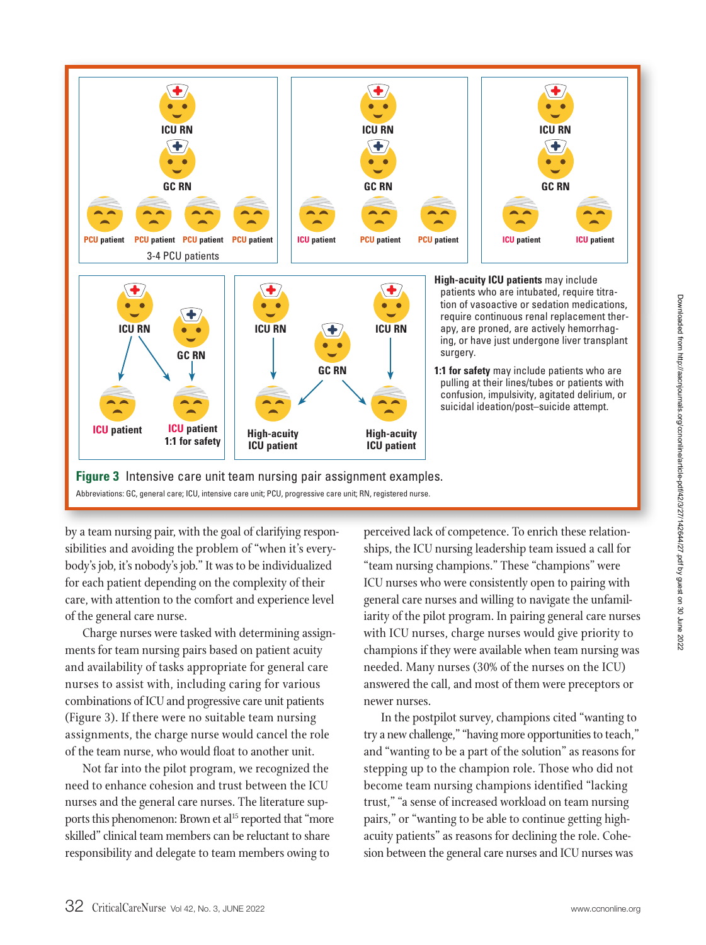

by a team nursing pair, with the goal of clarifying respon-close perceived lack of competence. To enrich these relati sibilities and avoiding the problem of "when it's everybody's job, it's nobody's job." It was to be individualized for each patient depending on the complexity of their care, with attention to the comfort and experience level of the general care nurse.

Charge nurses were tasked with determining assignments for team nursing pairs based on patient acuity and availability of tasks appropriate for general care nurses to assist with, including caring for various combinations of ICU and progressive care unit patients (Figure 3). If there were no suitable team nursing assignments, the charge nurse would cancel the role of the team nurse, who would float to another unit.

Not far into the pilot program, we recognized the need to enhance cohesion and trust between the ICU nurses and the general care nurses. The literature supports this phenomenon: Brown et al<sup>15</sup> reported that "more skilled" clinical team members can be reluctant to share responsibility and delegate to team members owing to

perceived lack of competence. To enrich these relationships, the ICU nursing leadership team issued a call for "team nursing champions." These "champions" were ICU nurses who were consistently open to pairing with general care nurses and willing to navigate the unfamiliarity of the pilot program. In pairing general care nurses with ICU nurses, charge nurses would give priority to champions if they were available when team nursing was needed. Many nurses (30% of the nurses on the ICU) answered the call, and most of them were preceptors or newer nurses.

In the postpilot survey, champions cited "wanting to try a new challenge," "having more opportunities to teach," and "wanting to be a part of the solution" as reasons for stepping up to the champion role. Those who did not become team nursing champions identified "lacking trust," "a sense of increased workload on team nursing pairs," or "wanting to be able to continue getting highacuity patients" as reasons for declining the role. Cohesion between the general care nurses and ICU nurses was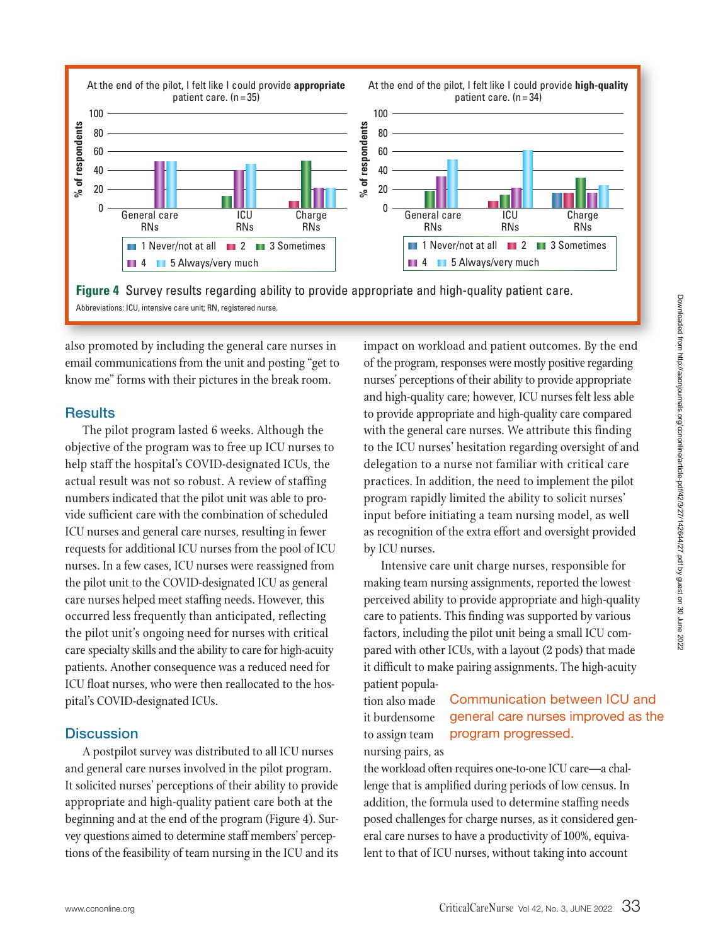

also promoted by including the general care nurses in  $\quad \quad$  impact on workload and patient outcomes. By the end email communications from the unit and posting "get to know me" forms with their pictures in the break room.

## **Results**

100

**% of respondents**

% of respondents

The pilot program lasted 6 weeks. Although the objective of the program was to free up ICU nurses to help staff the hospital's COVID-designated ICUs, the actual result was not so robust. A review of staffing numbers indicated that the pilot unit was able to provide sufficient care with the combination of scheduled ICU nurses and general care nurses, resulting in fewer requests for additional ICU nurses from the pool of ICU nurses. In a few cases, ICU nurses were reassigned from the pilot unit to the COVID-designated ICU as general care nurses helped meet staffing needs. However, this occurred less frequently than anticipated, reflecting the pilot unit's ongoing need for nurses with critical care specialty skills and the ability to care for high-acuity patients. Another consequence was a reduced need for ICU float nurses, who were then reallocated to the hospital's COVID-designated ICUs.

## **Discussion**

A postpilot survey was distributed to all ICU nurses and general care nurses involved in the pilot program. It solicited nurses' perceptions of their ability to provide appropriate and high-quality patient care both at the beginning and at the end of the program (Figure 4). Survey questions aimed to determine staff members' perceptions of the feasibility of team nursing in the ICU and its

impact on workload and patient outcomes. By the end of the program, responses were mostly positive regarding nurses' perceptions of their ability to provide appropriate and high-quality care; however, ICU nurses felt less able to provide appropriate and high-quality care compared with the general care nurses. We attribute this finding to the ICU nurses' hesitation regarding oversight of and delegation to a nurse not familiar with critical care practices. In addition, the need to implement the pilot program rapidly limited the ability to solicit nurses' input before initiating a team nursing model, as well as recognition of the extra effort and oversight provided by ICU nurses.

Intensive care unit charge nurses, responsible for making team nursing assignments, reported the lowest perceived ability to provide appropriate and high-quality care to patients. This finding was supported by various factors, including the pilot unit being a small ICU compared with other ICUs, with a layout (2 pods) that made it difficult to make pairing assignments. The high-acuity patient popula-

tion also made it burdensome to assign team nursing pairs, as Communication between ICU and general care nurses improved as the program progressed.

the workload often requires one-to-one ICU care—a challenge that is amplified during periods of low census. In addition, the formula used to determine staffing needs posed challenges for charge nurses, as it considered general care nurses to have a productivity of 100%, equivalent to that of ICU nurses, without taking into account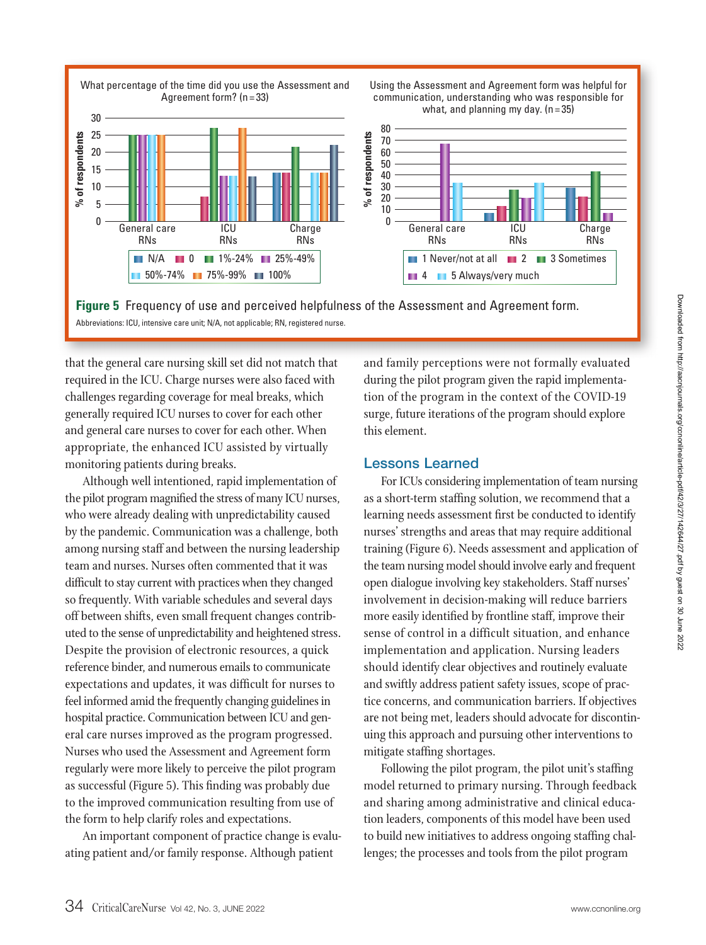

**Figure 5** Frequency of use and perceived helpfulness of the Assessment and Agreement form. Abbreviations: ICU, intensive care unit; N/A, not applicable; RN, registered nurse.

that the general care nursing skill set did not match that  $\qquad \quad$  and family perceptions were not formally evaluated required in the ICU. Charge nurses were also faced with challenges regarding coverage for meal breaks, which generally required ICU nurses to cover for each other and general care nurses to cover for each other. When appropriate, the enhanced ICU assisted by virtually monitoring patients during breaks.

Although well intentioned, rapid implementation of the pilot program magnified the stress of many ICU nurses, who were already dealing with unpredictability caused by the pandemic. Communication was a challenge, both among nursing staff and between the nursing leadership team and nurses. Nurses often commented that it was difficult to stay current with practices when they changed so frequently. With variable schedules and several days off between shifts, even small frequent changes contributed to the sense of unpredictability and heightened stress. Despite the provision of electronic resources, a quick reference binder, and numerous emails to communicate expectations and updates, it was difficult for nurses to feel informed amid the frequently changing guidelines in hospital practice. Communication between ICU and general care nurses improved as the program progressed. Nurses who used the Assessment and Agreement form regularly were more likely to perceive the pilot program as successful (Figure 5). This finding was probably due to the improved communication resulting from use of the form to help clarify roles and expectations.

An important component of practice change is evaluating patient and/or family response. Although patient

and family perceptions were not formally evaluated during the pilot program given the rapid implementation of the program in the context of the COVID-19 surge, future iterations of the program should explore this element.

### **Lessons Learned**

For ICUs considering implementation of team nursing as a short-term staffing solution, we recommend that a learning needs assessment first be conducted to identify nurses' strengths and areas that may require additional training (Figure 6). Needs assessment and application of the team nursing model should involve early and frequent open dialogue involving key stakeholders. Staff nurses' involvement in decision-making will reduce barriers more easily identified by frontline staff, improve their sense of control in a difficult situation, and enhance implementation and application. Nursing leaders should identify clear objectives and routinely evaluate and swiftly address patient safety issues, scope of practice concerns, and communication barriers. If objectives are not being met, leaders should advocate for discontinuing this approach and pursuing other interventions to mitigate staffing shortages.

Following the pilot program, the pilot unit's staffing model returned to primary nursing. Through feedback and sharing among administrative and clinical education leaders, components of this model have been used to build new initiatives to address ongoing staffing challenges; the processes and tools from the pilot program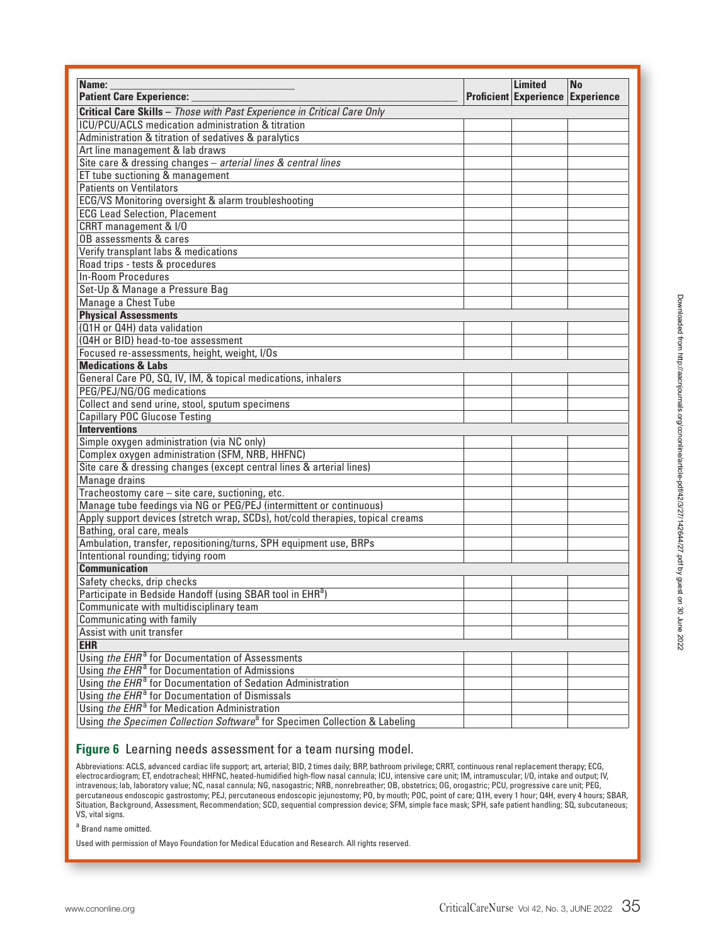| Name:                                                                                  |  | <b>Limited</b><br><b>Proficient Experience Experience</b> | <b>No</b> |
|----------------------------------------------------------------------------------------|--|-----------------------------------------------------------|-----------|
| <b>Patient Care Experience:</b>                                                        |  |                                                           |           |
| Critical Care Skills - Those with Past Experience in Critical Care Only                |  |                                                           |           |
| ICU/PCU/ACLS medication administration & titration                                     |  |                                                           |           |
| Administration & titration of sedatives & paralytics                                   |  |                                                           |           |
| Art line management & lab draws                                                        |  |                                                           |           |
| Site care & dressing changes - arterial lines & central lines                          |  |                                                           |           |
| ET tube suctioning & management                                                        |  |                                                           |           |
| <b>Patients on Ventilators</b>                                                         |  |                                                           |           |
| ECG/VS Monitoring oversight & alarm troubleshooting                                    |  |                                                           |           |
| <b>ECG Lead Selection, Placement</b>                                                   |  |                                                           |           |
| CRRT management & I/O                                                                  |  |                                                           |           |
| OB assessments & cares                                                                 |  |                                                           |           |
| Verify transplant labs & medications                                                   |  |                                                           |           |
| Road trips - tests & procedures                                                        |  |                                                           |           |
| <b>In-Room Procedures</b>                                                              |  |                                                           |           |
| Set-Up & Manage a Pressure Bag                                                         |  |                                                           |           |
| Manage a Chest Tube                                                                    |  |                                                           |           |
| <b>Physical Assessments</b>                                                            |  |                                                           |           |
| (Q1H or Q4H) data validation                                                           |  |                                                           |           |
| (Q4H or BID) head-to-toe assessment                                                    |  |                                                           |           |
| Focused re-assessments, height, weight, I/Os                                           |  |                                                           |           |
| <b>Medications &amp; Labs</b>                                                          |  |                                                           |           |
| General Care PO, SQ, IV, IM, & topical medications, inhalers                           |  |                                                           |           |
| PEG/PEJ/NG/0G medications                                                              |  |                                                           |           |
| Collect and send urine, stool, sputum specimens                                        |  |                                                           |           |
| <b>Capillary POC Glucose Testing</b>                                                   |  |                                                           |           |
| <b>Interventions</b>                                                                   |  |                                                           |           |
| Simple oxygen administration (via NC only)                                             |  |                                                           |           |
| Complex oxygen administration (SFM, NRB, HHFNC)                                        |  |                                                           |           |
| Site care & dressing changes (except central lines & arterial lines)                   |  |                                                           |           |
| Manage drains                                                                          |  |                                                           |           |
| Tracheostomy care - site care, suctioning, etc.                                        |  |                                                           |           |
| Manage tube feedings via NG or PEG/PEJ (intermittent or continuous)                    |  |                                                           |           |
| Apply support devices (stretch wrap, SCDs), hot/cold therapies, topical creams         |  |                                                           |           |
| Bathing, oral care, meals                                                              |  |                                                           |           |
| Ambulation, transfer, repositioning/turns, SPH equipment use, BRPs                     |  |                                                           |           |
| Intentional rounding; tidying room                                                     |  |                                                           |           |
| <b>Communication</b>                                                                   |  |                                                           |           |
| Safety checks, drip checks                                                             |  |                                                           |           |
| Participate in Bedside Handoff (using SBAR tool in EHR <sup>a</sup> )                  |  |                                                           |           |
| Communicate with multidisciplinary team                                                |  |                                                           |           |
| Communicating with family                                                              |  |                                                           |           |
| Assist with unit transfer                                                              |  |                                                           |           |
| <b>EHR</b>                                                                             |  |                                                           |           |
| Using the EHR <sup>a</sup> for Documentation of Assessments                            |  |                                                           |           |
| Using the EHR <sup>a</sup> for Documentation of Admissions                             |  |                                                           |           |
| Using the EHR <sup>a</sup> for Documentation of Sedation Administration                |  |                                                           |           |
| Using the EHR <sup>a</sup> for Documentation of Dismissals                             |  |                                                           |           |
| Using the EHR <sup>a</sup> for Medication Administration                               |  |                                                           |           |
|                                                                                        |  |                                                           |           |
| Using the Specimen Collection Software <sup>a</sup> for Specimen Collection & Labeling |  |                                                           |           |

#### **Figure 6** Learning needs assessment for a team nursing model.

Abbreviations: ACLS, advanced cardiac life support; art, arterial; BID, 2 times daily; BRP, bathroom privilege; CRRT, continuous renal replacement therapy; ECG, electrocardiogram; ET, endotracheal; HHFNC, heated-humidified high-flow nasal cannula; ICU, intensive care unit; IM, intramuscular; I/O, intake and output; IV, intravenous; lab, laboratory value; NC, nasal cannula; NG, nasogastric; NRB, nonrebreather; OB, obstetrics; OG, orogastric; PCU, progressive care unit; PEG, percutaneous endoscopic gastrostomy; PEJ, percutaneous endoscopic jejunostomy; PO, by mouth; POC, point of care; Q1H, every 1 hour; Q4H, every 4 hours; SBAR, Situation, Background, Assessment, Recommendation; SCD, sequential compression device; SFM, simple face mask; SPH, safe patient handling; SQ, subcutaneous; VS, vital signs.

<sup>a</sup> Brand name omitted.

Used with permission of Mayo Foundation for Medical Education and Research. All rights reserved.